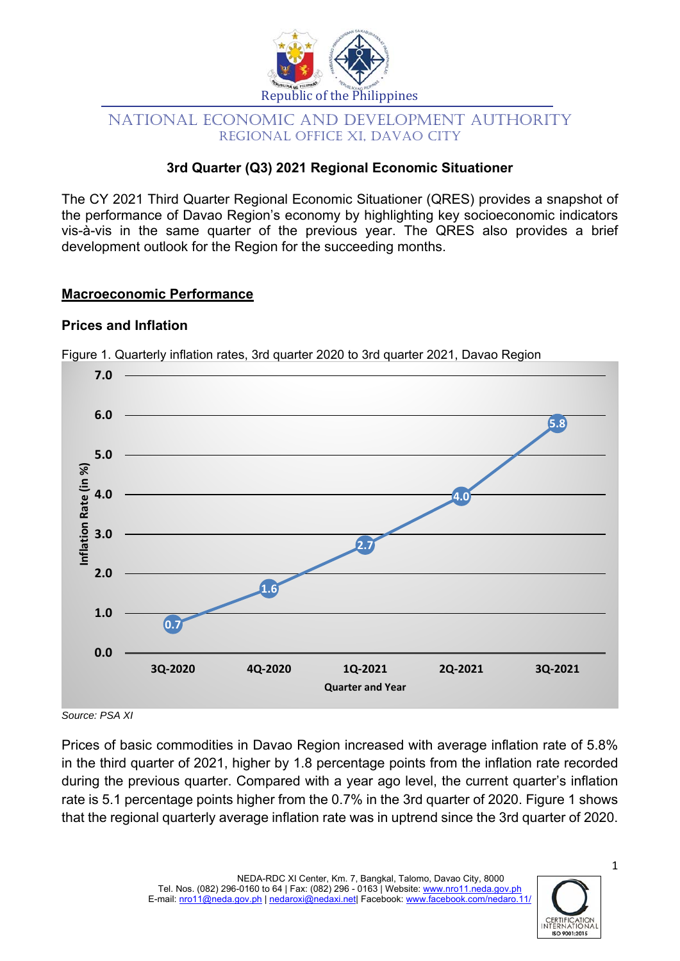

# NATIONAL ECONOMIC AND DEVELOPMENT AUTHORITY REGIONAL OFFICE XI, DAVAO CITY

# **3rd Quarter (Q3) 2021 Regional Economic Situationer**

The CY 2021 Third Quarter Regional Economic Situationer (QRES) provides a snapshot of the performance of Davao Region's economy by highlighting key socioeconomic indicators vis-à-vis in the same quarter of the previous year. The QRES also provides a brief development outlook for the Region for the succeeding months.

#### **Macroeconomic Performance**

#### **Prices and Inflation**



Figure 1. Quarterly inflation rates, 3rd quarter 2020 to 3rd quarter 2021, Davao Region

*Source: PSA XI* 

Prices of basic commodities in Davao Region increased with average inflation rate of 5.8% in the third quarter of 2021, higher by 1.8 percentage points from the inflation rate recorded during the previous quarter. Compared with a year ago level, the current quarter's inflation rate is 5.1 percentage points higher from the 0.7% in the 3rd quarter of 2020. Figure 1 shows that the regional quarterly average inflation rate was in uptrend since the 3rd quarter of 2020.



1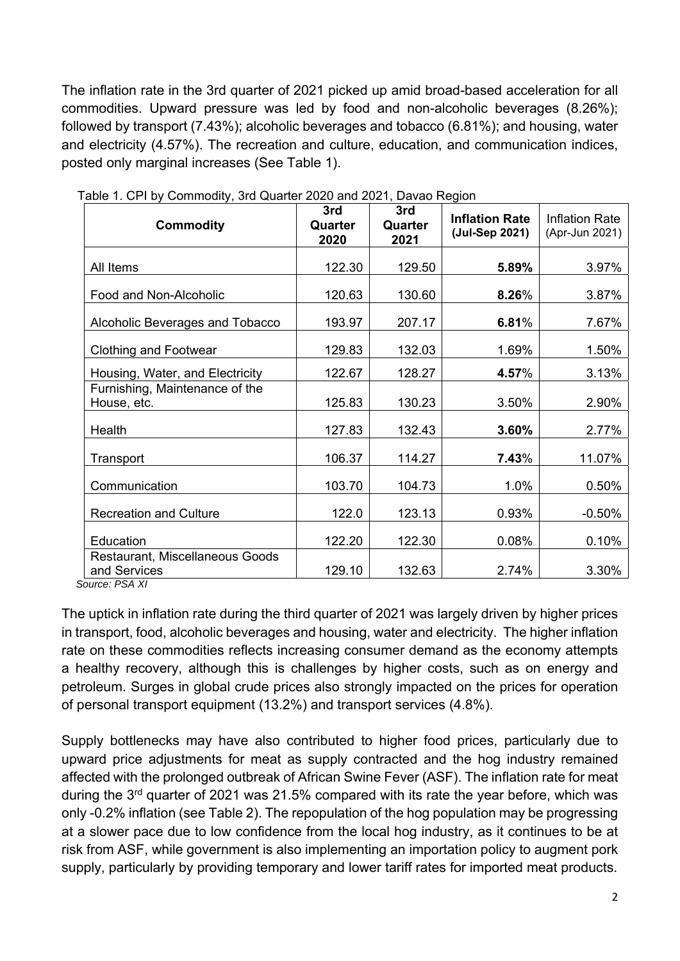The inflation rate in the 3rd quarter of 2021 picked up amid broad-based acceleration for all commodities. Upward pressure was led by food and non-alcoholic beverages (8.26%); followed by transport (7.43%); alcoholic beverages and tobacco (6.81%); and housing, water and electricity (4.57%). The recreation and culture, education, and communication indices, posted only marginal increases (See Table 1).

| <b>Commodity</b>                                | 3rd<br>Quarter<br>2020 | 3rd<br>Quarter<br>2021 | <b>Inflation Rate</b><br>(Jul-Sep 2021) | <b>Inflation Rate</b><br>(Apr-Jun 2021) |  |
|-------------------------------------------------|------------------------|------------------------|-----------------------------------------|-----------------------------------------|--|
| All Items                                       | 122.30                 | 129.50                 | 5.89%                                   | 3.97%                                   |  |
| Food and Non-Alcoholic                          | 120.63                 | 130.60                 | 8.26%                                   | 3.87%                                   |  |
| Alcoholic Beverages and Tobacco                 | 193.97                 | 207.17                 | 6.81%                                   | 7.67%                                   |  |
| <b>Clothing and Footwear</b>                    | 129.83                 | 132.03                 | 1.69%                                   | 1.50%                                   |  |
| Housing, Water, and Electricity                 | 122.67                 | 128.27                 | 4.57%                                   | 3.13%                                   |  |
| Furnishing, Maintenance of the<br>House, etc.   | 125.83                 | 130.23                 | 3.50%                                   | 2.90%                                   |  |
| Health                                          | 127.83                 | 132.43                 | 3.60%                                   | 2.77%                                   |  |
| Transport                                       | 106.37                 | 114.27                 | 7.43%                                   | 11.07%                                  |  |
| Communication                                   | 103.70                 | 104.73                 | 1.0%                                    | 0.50%                                   |  |
| <b>Recreation and Culture</b>                   | 122.0                  | 123.13                 | 0.93%                                   | $-0.50%$                                |  |
| Education                                       | 122.20                 | 122.30                 | 0.08%                                   | 0.10%                                   |  |
| Restaurant, Miscellaneous Goods<br>and Services | 129.10                 | 132.63                 | 2.74%                                   | 3.30%                                   |  |

Table 1. CPI by Commodity, 3rd Quarter 2020 and 2021, Davao Region

 *Source: PSA XI* 

The uptick in inflation rate during the third quarter of 2021 was largely driven by higher prices in transport, food, alcoholic beverages and housing, water and electricity. The higher inflation rate on these commodities reflects increasing consumer demand as the economy attempts a healthy recovery, although this is challenges by higher costs, such as on energy and petroleum. Surges in global crude prices also strongly impacted on the prices for operation of personal transport equipment (13.2%) and transport services (4.8%).

Supply bottlenecks may have also contributed to higher food prices, particularly due to upward price adjustments for meat as supply contracted and the hog industry remained affected with the prolonged outbreak of African Swine Fever (ASF). The inflation rate for meat during the  $3<sup>rd</sup>$  quarter of 2021 was 21.5% compared with its rate the year before, which was only -0.2% inflation (see Table 2). The repopulation of the hog population may be progressing at a slower pace due to low confidence from the local hog industry, as it continues to be at risk from ASF, while government is also implementing an importation policy to augment pork supply, particularly by providing temporary and lower tariff rates for imported meat products.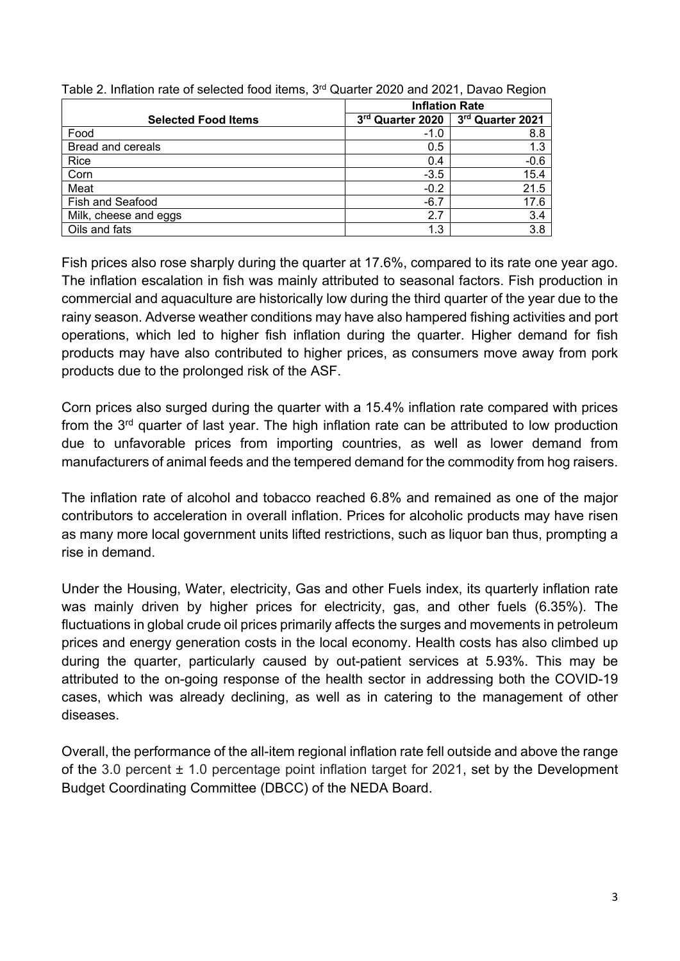|                            | <b>Inflation Rate</b> |                  |  |  |
|----------------------------|-----------------------|------------------|--|--|
| <b>Selected Food Items</b> | 3rd Quarter 2020      | 3rd Quarter 2021 |  |  |
| Food                       | $-1.0$                | 8.8              |  |  |
| Bread and cereals          | 0.5                   | 1.3              |  |  |
| Rice                       | 0.4                   | $-0.6$           |  |  |
| Corn                       | $-3.5$                | 15.4             |  |  |
| Meat                       | $-0.2$                | 21.5             |  |  |
| <b>Fish and Seafood</b>    | $-6.7$                | 17.6             |  |  |
| Milk, cheese and eggs      | 2.7                   | 3.4              |  |  |
| Oils and fats              | 1.3                   | 3.8              |  |  |

Table 2. Inflation rate of selected food items, 3<sup>rd</sup> Quarter 2020 and 2021, Davao Region

Fish prices also rose sharply during the quarter at 17.6%, compared to its rate one year ago. The inflation escalation in fish was mainly attributed to seasonal factors. Fish production in commercial and aquaculture are historically low during the third quarter of the year due to the rainy season. Adverse weather conditions may have also hampered fishing activities and port operations, which led to higher fish inflation during the quarter. Higher demand for fish products may have also contributed to higher prices, as consumers move away from pork products due to the prolonged risk of the ASF.

Corn prices also surged during the quarter with a 15.4% inflation rate compared with prices from the 3<sup>rd</sup> quarter of last year. The high inflation rate can be attributed to low production due to unfavorable prices from importing countries, as well as lower demand from manufacturers of animal feeds and the tempered demand for the commodity from hog raisers.

The inflation rate of alcohol and tobacco reached 6.8% and remained as one of the major contributors to acceleration in overall inflation. Prices for alcoholic products may have risen as many more local government units lifted restrictions, such as liquor ban thus, prompting a rise in demand.

Under the Housing, Water, electricity, Gas and other Fuels index, its quarterly inflation rate was mainly driven by higher prices for electricity, gas, and other fuels (6.35%). The fluctuations in global crude oil prices primarily affects the surges and movements in petroleum prices and energy generation costs in the local economy. Health costs has also climbed up during the quarter, particularly caused by out-patient services at 5.93%. This may be attributed to the on-going response of the health sector in addressing both the COVID-19 cases, which was already declining, as well as in catering to the management of other diseases.

Overall, the performance of the all-item regional inflation rate fell outside and above the range of the 3.0 percent  $\pm$  1.0 percentage point inflation target for 2021, set by the Development Budget Coordinating Committee (DBCC) of the NEDA Board.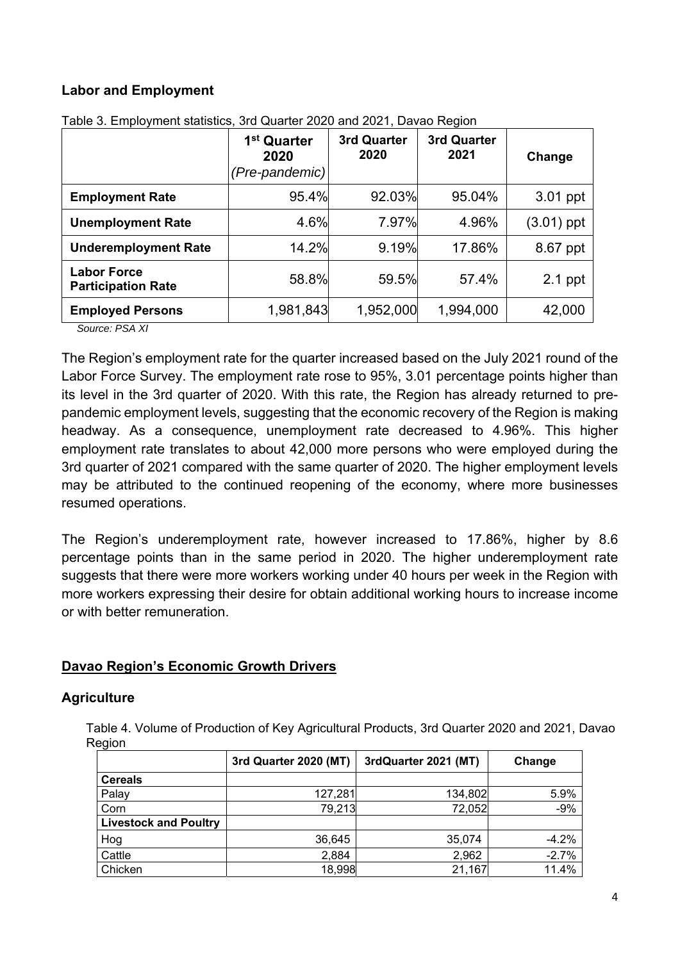## **Labor and Employment**

|                                                 | 1 <sup>st</sup> Quarter<br>2020<br>(Pre-pandemic) | 3rd Quarter<br>2020 | 3rd Quarter<br>2021 | Change       |  |
|-------------------------------------------------|---------------------------------------------------|---------------------|---------------------|--------------|--|
| <b>Employment Rate</b>                          | 95.4%                                             | 92.03%              | 95.04%              | 3.01 ppt     |  |
| <b>Unemployment Rate</b>                        | 4.6%                                              | 7.97%               | 4.96%               | $(3.01)$ ppt |  |
| <b>Underemployment Rate</b>                     | 14.2%                                             | 9.19%               | 17.86%              | 8.67 ppt     |  |
| <b>Labor Force</b><br><b>Participation Rate</b> | 58.8%                                             | 59.5%               | 57.4%               | $2.1$ ppt    |  |
| <b>Employed Persons</b>                         | 1,981,843                                         | 1,952,000           | 1,994,000           | 42,000       |  |

Table 3. Employment statistics, 3rd Quarter 2020 and 2021, Davao Region

*Source: PSA XI* 

The Region's employment rate for the quarter increased based on the July 2021 round of the Labor Force Survey. The employment rate rose to 95%, 3.01 percentage points higher than its level in the 3rd quarter of 2020. With this rate, the Region has already returned to prepandemic employment levels, suggesting that the economic recovery of the Region is making headway. As a consequence, unemployment rate decreased to 4.96%. This higher employment rate translates to about 42,000 more persons who were employed during the 3rd quarter of 2021 compared with the same quarter of 2020. The higher employment levels may be attributed to the continued reopening of the economy, where more businesses resumed operations.

The Region's underemployment rate, however increased to 17.86%, higher by 8.6 percentage points than in the same period in 2020. The higher underemployment rate suggests that there were more workers working under 40 hours per week in the Region with more workers expressing their desire for obtain additional working hours to increase income or with better remuneration.

#### **Davao Region's Economic Growth Drivers**

#### **Agriculture**

 Table 4. Volume of Production of Key Agricultural Products, 3rd Quarter 2020 and 2021, Davao Region

|                              | 3rd Quarter 2020 (MT) | 3rdQuarter 2021 (MT) | Change  |
|------------------------------|-----------------------|----------------------|---------|
| <b>Cereals</b>               |                       |                      |         |
| Palay                        | 127,281               | 134,802              | 5.9%    |
| Corn                         | 79,213                | 72,052               | $-9%$   |
| <b>Livestock and Poultry</b> |                       |                      |         |
| Hog                          | 36,645                | 35,074               | $-4.2%$ |
| Cattle                       | 2,884                 | 2,962                | $-2.7%$ |
| Chicken                      | 18,998                | 21,167               | 11.4%   |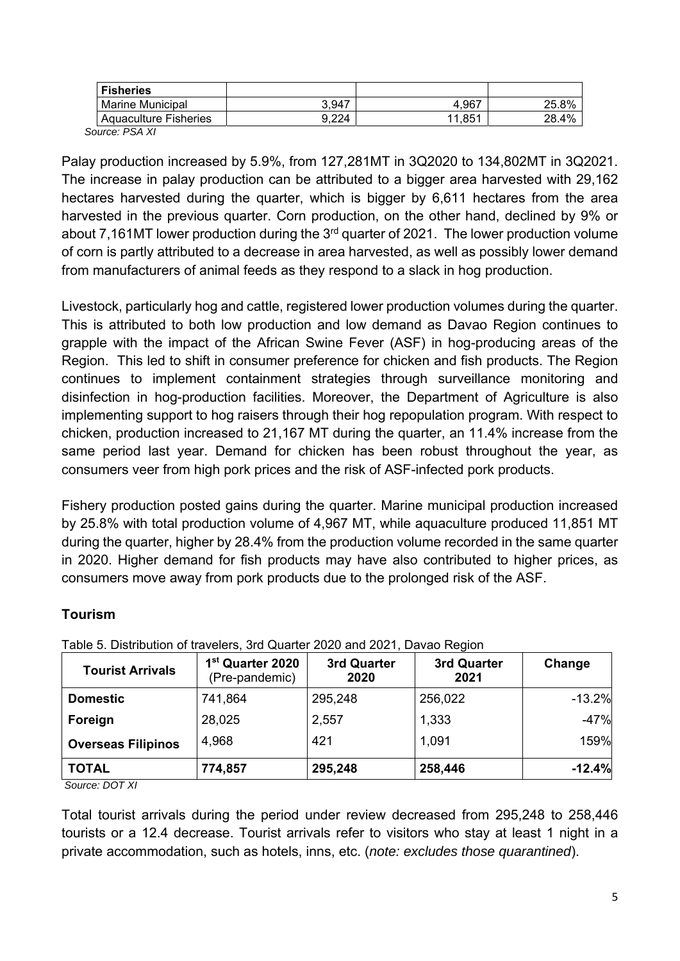| <b>Fisheries</b>        |       |        |       |
|-------------------------|-------|--------|-------|
| <b>Marine Municipal</b> | 3,947 | 4,967  | 25.8% |
| Aquaculture Fisheries   | 9.224 | 11.851 | 28.4% |
| $\sim$ $\sim$ $\sim$    |       |        |       |

 *Source: PSA XI* 

Palay production increased by 5.9%, from 127,281MT in 3Q2020 to 134,802MT in 3Q2021. The increase in palay production can be attributed to a bigger area harvested with 29,162 hectares harvested during the quarter, which is bigger by 6,611 hectares from the area harvested in the previous quarter. Corn production, on the other hand, declined by 9% or about 7,161MT lower production during the  $3<sup>rd</sup>$  quarter of 2021. The lower production volume of corn is partly attributed to a decrease in area harvested, as well as possibly lower demand from manufacturers of animal feeds as they respond to a slack in hog production.

Livestock, particularly hog and cattle, registered lower production volumes during the quarter. This is attributed to both low production and low demand as Davao Region continues to grapple with the impact of the African Swine Fever (ASF) in hog-producing areas of the Region. This led to shift in consumer preference for chicken and fish products. The Region continues to implement containment strategies through surveillance monitoring and disinfection in hog-production facilities. Moreover, the Department of Agriculture is also implementing support to hog raisers through their hog repopulation program. With respect to chicken, production increased to 21,167 MT during the quarter, an 11.4% increase from the same period last year. Demand for chicken has been robust throughout the year, as consumers veer from high pork prices and the risk of ASF-infected pork products.

Fishery production posted gains during the quarter. Marine municipal production increased by 25.8% with total production volume of 4,967 MT, while aquaculture produced 11,851 MT during the quarter, higher by 28.4% from the production volume recorded in the same quarter in 2020. Higher demand for fish products may have also contributed to higher prices, as consumers move away from pork products due to the prolonged risk of the ASF.

#### **Tourism**

| <b>Tourist Arrivals</b>               | 1 <sup>st</sup> Quarter 2020<br>(Pre-pandemic) | 3rd Quarter<br>2020 | 3rd Quarter<br>2021 | Change   |  |
|---------------------------------------|------------------------------------------------|---------------------|---------------------|----------|--|
| <b>Domestic</b>                       | 741,864                                        | 295,248             | 256,022             | $-13.2%$ |  |
| Foreign                               | 28,025<br>2,557                                |                     | 1,333               | $-47%$   |  |
| <b>Overseas Filipinos</b>             | 4,968                                          | 421                 | 1,091               | 159%     |  |
| <b>TOTAL</b><br>$\sim$ $\sim$<br>---- | 774,857                                        | 295,248             | 258,446             | $-12.4%$ |  |

Table 5. Distribution of travelers, 3rd Quarter 2020 and 2021, Davao Region

 *Source: DOT XI* 

Total tourist arrivals during the period under review decreased from 295,248 to 258,446 tourists or a 12.4 decrease. Tourist arrivals refer to visitors who stay at least 1 night in a private accommodation, such as hotels, inns, etc. (*note: excludes those quarantined*).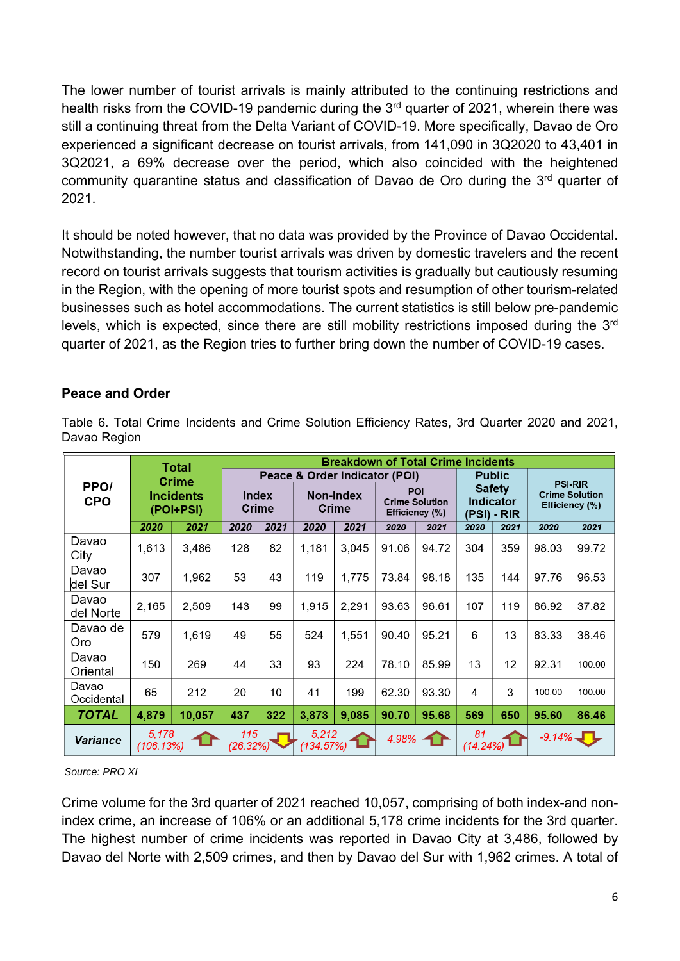The lower number of tourist arrivals is mainly attributed to the continuing restrictions and health risks from the COVID-19 pandemic during the 3<sup>rd</sup> quarter of 2021, wherein there was still a continuing threat from the Delta Variant of COVID-19. More specifically, Davao de Oro experienced a significant decrease on tourist arrivals, from 141,090 in 3Q2020 to 43,401 in 3Q2021, a 69% decrease over the period, which also coincided with the heightened community quarantine status and classification of Davao de Oro during the 3<sup>rd</sup> quarter of 2021.

It should be noted however, that no data was provided by the Province of Davao Occidental. Notwithstanding, the number tourist arrivals was driven by domestic travelers and the recent record on tourist arrivals suggests that tourism activities is gradually but cautiously resuming in the Region, with the opening of more tourist spots and resumption of other tourism-related businesses such as hotel accommodations. The current statistics is still below pre-pandemic levels, which is expected, since there are still mobility restrictions imposed during the 3<sup>rd</sup> quarter of 2021, as the Region tries to further bring down the number of COVID-19 cases.

#### **Peace and Order**

| Davao I Iugioni     |                                                               |        |                                           |      |                    |                           |       |                                                |                   |                                                  |           |                                                           |
|---------------------|---------------------------------------------------------------|--------|-------------------------------------------|------|--------------------|---------------------------|-------|------------------------------------------------|-------------------|--------------------------------------------------|-----------|-----------------------------------------------------------|
|                     | <b>Total</b><br><b>Crime</b><br><b>Incidents</b><br>(POI+PSI) |        | <b>Breakdown of Total Crime Incidents</b> |      |                    |                           |       |                                                |                   |                                                  |           |                                                           |
| PPO/<br><b>CPO</b>  |                                                               |        | Peace & Order Indicator (POI)             |      |                    |                           |       | <b>Public</b>                                  |                   |                                                  |           |                                                           |
|                     |                                                               |        | <b>Index</b><br><b>Crime</b>              |      |                    | <b>Non-Index</b><br>Crime |       | POI<br><b>Crime Solution</b><br>Efficiency (%) |                   | <b>Safety</b><br><b>Indicator</b><br>(PSI) - RIR |           | <b>PSI-RIR</b><br><b>Crime Solution</b><br>Efficiency (%) |
|                     | 2020                                                          | 2021   | 2020                                      | 2021 | 2020               | 2021                      | 2020  | 2021                                           | 2020              | 2021                                             | 2020      | 2021                                                      |
| Davao<br>City       | 1,613                                                         | 3,486  | 128                                       | 82   | 1,181              | 3,045                     | 91.06 | 94.72                                          | 304               | 359                                              | 98.03     | 99.72                                                     |
| Davao<br>del Sur    | 307                                                           | 1,962  | 53                                        | 43   | 119                | 1,775                     | 73.84 | 98.18                                          | 135               | 144                                              | 97.76     | 96.53                                                     |
| Davao<br>del Norte  | 2,165                                                         | 2,509  | 143                                       | 99   | 1,915              | 2,291                     | 93.63 | 96.61                                          | 107               | 119                                              | 86.92     | 37.82                                                     |
| Davao de<br>Oro     | 579                                                           | 1,619  | 49                                        | 55   | 524                | 1,551                     | 90.40 | 95.21                                          | 6                 | 13                                               | 83.33     | 38.46                                                     |
| Davao<br>Oriental   | 150                                                           | 269    | 44                                        | 33   | 93                 | 224                       | 78.10 | 85.99                                          | 13                | 12                                               | 92.31     | 100.00                                                    |
| Davao<br>Occidental | 65                                                            | 212    | 20                                        | 10   | 41                 | 199                       | 62.30 | 93.30                                          | 4                 | 3                                                | 100.00    | 100.00                                                    |
| <b>TOTAL</b>        | 4,879                                                         | 10,057 | 437                                       | 322  | 3,873              | 9,085                     | 90.70 | 95.68                                          | 569               | 650                                              | 95.60     | 86.46                                                     |
| <b>Variance</b>     | 5,178<br>(106.13%)                                            |        | -115<br>(26.32%)                          |      | 5,212<br>(134.57%) |                           | 4.98% |                                                | 81<br>$(14.24\%)$ |                                                  | $-9.14\%$ |                                                           |

Table 6. Total Crime Incidents and Crime Solution Efficiency Rates, 3rd Quarter 2020 and 2021, Davao Region

*Source: PRO XI* 

Crime volume for the 3rd quarter of 2021 reached 10,057, comprising of both index-and nonindex crime, an increase of 106% or an additional 5,178 crime incidents for the 3rd quarter. The highest number of crime incidents was reported in Davao City at 3,486, followed by Davao del Norte with 2,509 crimes, and then by Davao del Sur with 1,962 crimes. A total of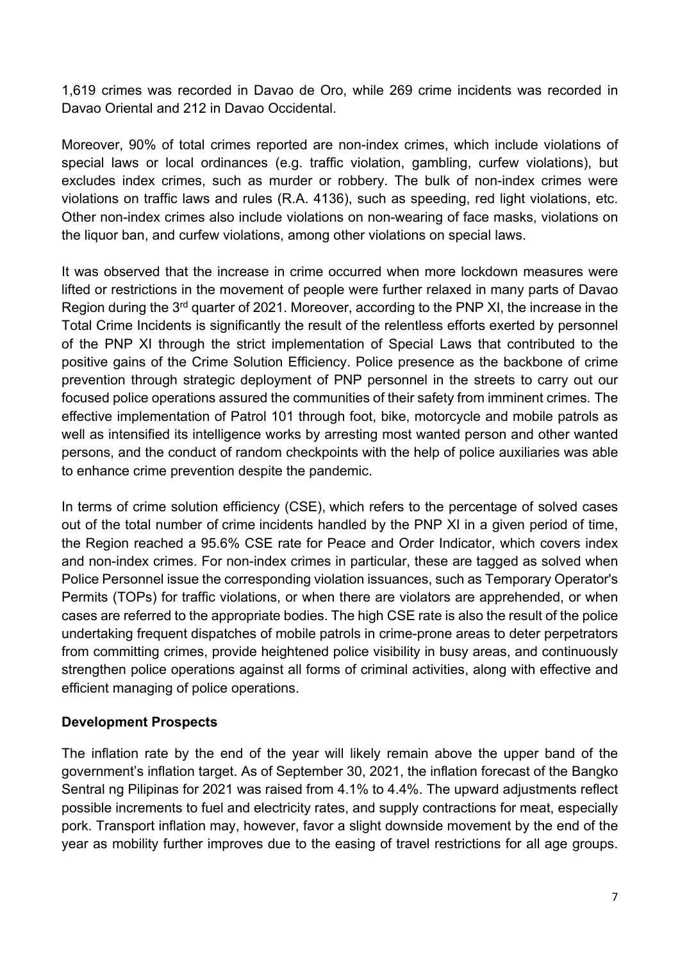1,619 crimes was recorded in Davao de Oro, while 269 crime incidents was recorded in Davao Oriental and 212 in Davao Occidental.

Moreover, 90% of total crimes reported are non-index crimes, which include violations of special laws or local ordinances (e.g. traffic violation, gambling, curfew violations), but excludes index crimes, such as murder or robbery. The bulk of non-index crimes were violations on traffic laws and rules (R.A. 4136), such as speeding, red light violations, etc. Other non-index crimes also include violations on non-wearing of face masks, violations on the liquor ban, and curfew violations, among other violations on special laws.

It was observed that the increase in crime occurred when more lockdown measures were lifted or restrictions in the movement of people were further relaxed in many parts of Davao Region during the 3<sup>rd</sup> quarter of 2021. Moreover, according to the PNP XI, the increase in the Total Crime Incidents is significantly the result of the relentless efforts exerted by personnel of the PNP XI through the strict implementation of Special Laws that contributed to the positive gains of the Crime Solution Efficiency. Police presence as the backbone of crime prevention through strategic deployment of PNP personnel in the streets to carry out our focused police operations assured the communities of their safety from imminent crimes. The effective implementation of Patrol 101 through foot, bike, motorcycle and mobile patrols as well as intensified its intelligence works by arresting most wanted person and other wanted persons, and the conduct of random checkpoints with the help of police auxiliaries was able to enhance crime prevention despite the pandemic.

In terms of crime solution efficiency (CSE), which refers to the percentage of solved cases out of the total number of crime incidents handled by the PNP XI in a given period of time, the Region reached a 95.6% CSE rate for Peace and Order Indicator, which covers index and non-index crimes. For non-index crimes in particular, these are tagged as solved when Police Personnel issue the corresponding violation issuances, such as Temporary Operator's Permits (TOPs) for traffic violations, or when there are violators are apprehended, or when cases are referred to the appropriate bodies. The high CSE rate is also the result of the police undertaking frequent dispatches of mobile patrols in crime-prone areas to deter perpetrators from committing crimes, provide heightened police visibility in busy areas, and continuously strengthen police operations against all forms of criminal activities, along with effective and efficient managing of police operations.

#### **Development Prospects**

The inflation rate by the end of the year will likely remain above the upper band of the government's inflation target. As of September 30, 2021, the inflation forecast of the Bangko Sentral ng Pilipinas for 2021 was raised from 4.1% to 4.4%. The upward adjustments reflect possible increments to fuel and electricity rates, and supply contractions for meat, especially pork. Transport inflation may, however, favor a slight downside movement by the end of the year as mobility further improves due to the easing of travel restrictions for all age groups.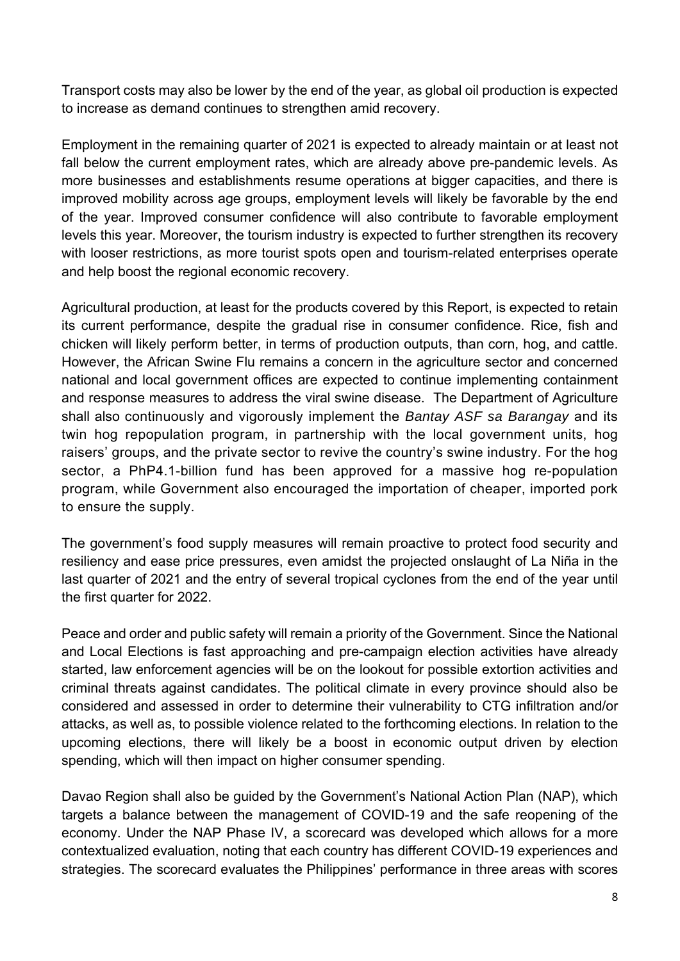Transport costs may also be lower by the end of the year, as global oil production is expected to increase as demand continues to strengthen amid recovery.

Employment in the remaining quarter of 2021 is expected to already maintain or at least not fall below the current employment rates, which are already above pre-pandemic levels. As more businesses and establishments resume operations at bigger capacities, and there is improved mobility across age groups, employment levels will likely be favorable by the end of the year. Improved consumer confidence will also contribute to favorable employment levels this year. Moreover, the tourism industry is expected to further strengthen its recovery with looser restrictions, as more tourist spots open and tourism-related enterprises operate and help boost the regional economic recovery.

Agricultural production, at least for the products covered by this Report, is expected to retain its current performance, despite the gradual rise in consumer confidence. Rice, fish and chicken will likely perform better, in terms of production outputs, than corn, hog, and cattle. However, the African Swine Flu remains a concern in the agriculture sector and concerned national and local government offices are expected to continue implementing containment and response measures to address the viral swine disease. The Department of Agriculture shall also continuously and vigorously implement the *Bantay ASF sa Barangay* and its twin hog repopulation program, in partnership with the local government units, hog raisers' groups, and the private sector to revive the country's swine industry. For the hog sector, a PhP4.1-billion fund has been approved for a massive hog re-population program, while Government also encouraged the importation of cheaper, imported pork to ensure the supply.

The government's food supply measures will remain proactive to protect food security and resiliency and ease price pressures, even amidst the projected onslaught of La Niña in the last quarter of 2021 and the entry of several tropical cyclones from the end of the year until the first quarter for 2022.

Peace and order and public safety will remain a priority of the Government. Since the National and Local Elections is fast approaching and pre-campaign election activities have already started, law enforcement agencies will be on the lookout for possible extortion activities and criminal threats against candidates. The political climate in every province should also be considered and assessed in order to determine their vulnerability to CTG infiltration and/or attacks, as well as, to possible violence related to the forthcoming elections. In relation to the upcoming elections, there will likely be a boost in economic output driven by election spending, which will then impact on higher consumer spending.

Davao Region shall also be guided by the Government's National Action Plan (NAP), which targets a balance between the management of COVID-19 and the safe reopening of the economy. Under the NAP Phase IV, a scorecard was developed which allows for a more contextualized evaluation, noting that each country has different COVID-19 experiences and strategies. The scorecard evaluates the Philippines' performance in three areas with scores